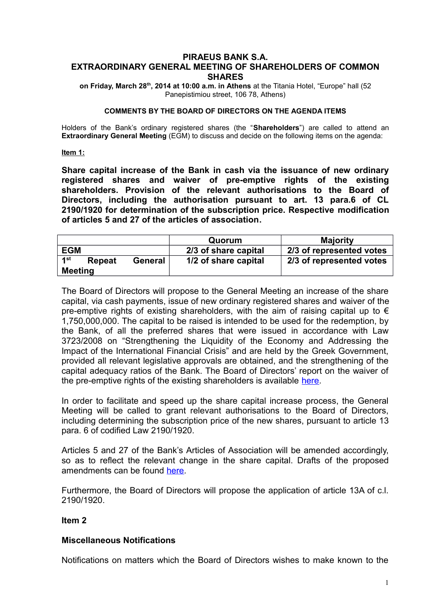## **PIRAEUS BANK S.A. EXTRAORDINARY GENERAL MEETING OF SHAREHOLDERS OF COMMON SHARES**

**on Friday, March 28th , 2014 at 10:00 a.m. in Athens** at the Titania Hotel, "Europe" hall (52 Panepistimiou street, 106 78, Athens)

## **COMMENTS BY THE BOARD OF DIRECTORS ON THE AGENDA ITEMS**

Holders of the Bank's ordinary registered shares (the "**Shareholders**") are called to attend an **Extraordinary General Meeting** (EGM) to discuss and decide on the following items on the agenda:

**Item 1:**

**Share capital increase of the Bank in cash via the issuance of new ordinary registered shares and waiver of pre-emptive rights of the existing shareholders. Provision of the relevant authorisations to the Board of Directors, including the authorisation pursuant to art. 13 para.6 of CL 2190/1920 for determination of the subscription price. Respective modification of articles 5 and 27 of the articles of association.** 

|                                 | Quorum               | <b>Majority</b>          |
|---------------------------------|----------------------|--------------------------|
| <b>EGM</b>                      | 2/3 of share capital | 2/3 of represented votes |
| 1st<br>General<br><b>Repeat</b> | 1/2 of share capital | 2/3 of represented votes |
| <b>Meeting</b>                  |                      |                          |

The Board of Directors will propose to the General Meeting an increase of the share capital, via cash payments, issue of new ordinary registered shares and waiver of the pre-emptive rights of existing shareholders, with the aim of raising capital up to  $\epsilon$ 1,750,000,000. The capital to be raised is intended to be used for the redemption, by the Bank, of all the preferred shares that were issued in accordance with Law 3723/2008 on "Strengthening the Liquidity of the Economy and Addressing the Impact of the International Financial Crisis" and are held by the Greek Government, provided all relevant legislative approvals are obtained, and the strengthening of the capital adequacy ratios of the Bank. The Board of Directors' report on the waiver of the pre-emptive rights of the existing shareholders is available [here.](http://www.piraeusbankgroup.com/~/media/Com/Piraeus-Bank-Documents/Enimerosi-Ependiton/General-Meetings/2014/March/Report_of_the_BoD.ashx)

In order to facilitate and speed up the share capital increase process, the General Meeting will be called to grant relevant authorisations to the Board of Directors, including determining the subscription price of the new shares, pursuant to article 13 para. 6 of codified Law 2190/1920.

Articles 5 and 27 of the Bank's Articles of Association will be amended accordingly, so as to reflect the relevant change in the share capital. Drafts of the proposed amendments can be found [here.](http://www.piraeusbankgroup.com/~/media/Com/Piraeus-Bank-Documents/Enimerosi-Ependiton/General-Meetings/2014/%20SxedioKatastatikoueng.ashx)

Furthermore, the Board of Directors will propose the application of article 13A of c.l. 2190/1920.

## **Item 2**

## **Miscellaneous Notifications**

Notifications on matters which the Board of Directors wishes to make known to the